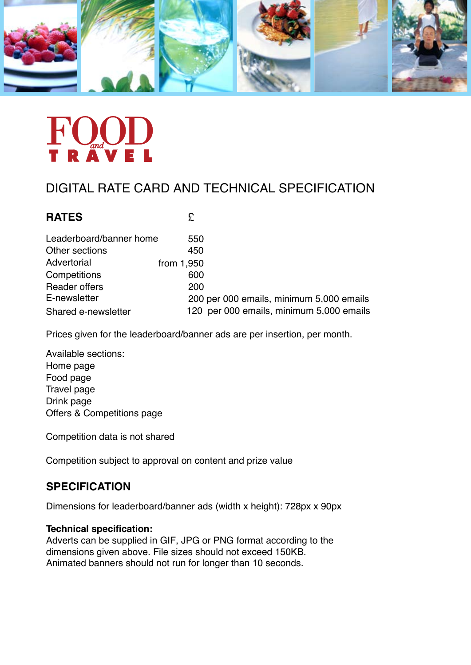

# DIGITAL RATE CARD AND TECHNICAL SPECIFICATION

| <b>RATES</b>            | £                                        |
|-------------------------|------------------------------------------|
| Leaderboard/banner home | 550                                      |
| Other sections          | 450                                      |
| Advertorial             | from 1,950                               |
| Competitions            | 600                                      |
| <b>Reader offers</b>    | 200                                      |
| E-newsletter            | 200 per 000 emails, minimum 5,000 emails |
| Shared e-newsletter     | 120 per 000 emails, minimum 5,000 emails |

Prices given for the leaderboard/banner ads are per insertion, per month.

Available sections: Home page Food page Travel page Drink page Offers & Competitions page

Competition data is not shared

Competition subject to approval on content and prize value

# **SPECIFICATION**

Dimensions for leaderboard/banner ads (width x height): 728px x 90px

### **Technical specification:**

Adverts can be supplied in GIF, JPG or PNG format according to the dimensions given above. File sizes should not exceed 150KB. Animated banners should not run for longer than 10 seconds.